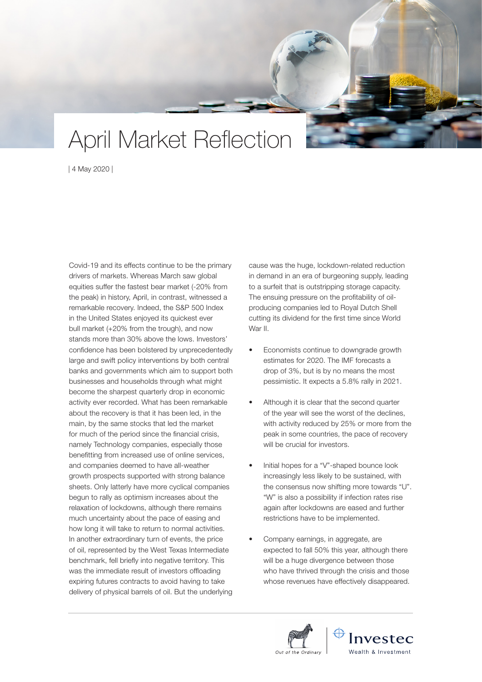## April Market Reflection

| 4 May 2020 |

Covid-19 and its effects continue to be the primary drivers of markets. Whereas March saw global equities suffer the fastest bear market (-20% from the peak) in history, April, in contrast, witnessed a remarkable recovery. Indeed, the S&P 500 Index in the United States enjoyed its quickest ever bull market (+20% from the trough), and now stands more than 30% above the lows. Investors' confidence has been bolstered by unprecedentedly large and swift policy interventions by both central banks and governments which aim to support both businesses and households through what might become the sharpest quarterly drop in economic activity ever recorded. What has been remarkable about the recovery is that it has been led, in the main, by the same stocks that led the market for much of the period since the financial crisis, namely Technology companies, especially those benefitting from increased use of online services, and companies deemed to have all-weather growth prospects supported with strong balance sheets. Only latterly have more cyclical companies begun to rally as optimism increases about the relaxation of lockdowns, although there remains much uncertainty about the pace of easing and how long it will take to return to normal activities. In another extraordinary turn of events, the price of oil, represented by the West Texas Intermediate benchmark, fell briefly into negative territory. This was the immediate result of investors offloading expiring futures contracts to avoid having to take delivery of physical barrels of oil. But the underlying

cause was the huge, lockdown-related reduction in demand in an era of burgeoning supply, leading to a surfeit that is outstripping storage capacity. The ensuing pressure on the profitability of oilproducing companies led to Royal Dutch Shell cutting its dividend for the first time since World War II.

- Economists continue to downgrade growth estimates for 2020. The IMF forecasts a drop of 3%, but is by no means the most pessimistic. It expects a 5.8% rally in 2021.
- Although it is clear that the second quarter of the year will see the worst of the declines, with activity reduced by 25% or more from the peak in some countries, the pace of recovery will be crucial for investors.
- Initial hopes for a "V"-shaped bounce look increasingly less likely to be sustained, with the consensus now shifting more towards "U". "W" is also a possibility if infection rates rise again after lockdowns are eased and further restrictions have to be implemented.
- Company earnings, in aggregate, are expected to fall 50% this year, although there will be a huge divergence between those who have thrived through the crisis and those whose revenues have effectively disappeared.